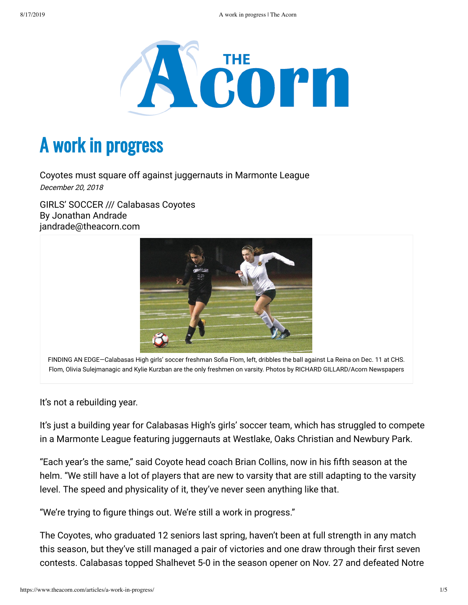

# A work in progress

Coyotes must square off against juggernauts in Marmonte League December 20, 2018

GIRLS' SOCCER /// Calabasas Coyotes By Jonathan Andrade jandrade@theacorn.com



FINDING AN EDGE-Calabasas High girls' soccer freshman Sofia Flom, left, dribbles the ball against La Reina on Dec. 11 at CHS. Flom, Olivia Sulejmanagic and Kylie Kurzban are the only freshmen on varsity. Photos by RICHARD GILLARD/Acorn Newspapers

It's not a rebuilding year.

It's just a building year for Calabasas High's girls' soccer team, which has struggled to compete in a Marmonte League featuring juggernauts at Westlake, Oaks Christian and Newbury Park.

"Each year's the same," said Coyote head coach Brian Collins, now in his fifth season at the helm. "We still have a lot of players that are new to varsity that are still adapting to the varsity level. The speed and physicality of it, they've never seen anything like that.

"We're trying to figure things out. We're still a work in progress."

The Coyotes, who graduated 12 seniors last spring, haven't been at full strength in any match this season, but they've still managed a pair of victories and one draw through their first seven contests. Calabasas topped Shalhevet 5-0 in the season opener on Nov. 27 and defeated Notre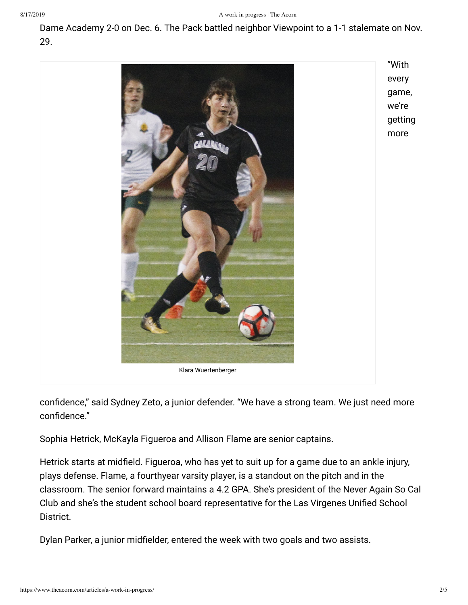Dame Academy 2-0 on Dec. 6. The Pack battled neighbor Viewpoint to a 1-1 stalemate on Nov. 29.



confidence," said Sydney Zeto, a junior defender. "We have a strong team. We just need more confidence."

Sophia Hetrick, McKayla Figueroa and Allison Flame are senior captains.

Hetrick starts at midfield. Figueroa, who has yet to suit up for a game due to an ankle injury, plays defense. Flame, a fourthyear varsity player, is a standout on the pitch and in the classroom. The senior forward maintains a 4.2 GPA. She's president of the Never Again So Cal Club and she's the student school board representative for the Las Virgenes Unified School District.

Dylan Parker, a junior midfielder, entered the week with two goals and two assists.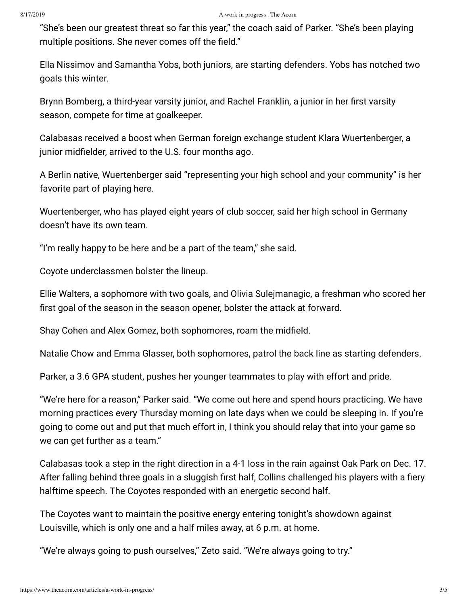"She's been our greatest threat so far this year," the coach said of Parker. "She's been playing multiple positions. She never comes off the field."

Ella Nissimov and Samantha Yobs, both juniors, are starting defenders. Yobs has notched two goals this winter.

Brynn Bomberg, a third-year varsity junior, and Rachel Franklin, a junior in her first varsity season, compete for time at goalkeeper.

Calabasas received a boost when German foreign exchange student Klara Wuertenberger, a junior midfielder, arrived to the U.S. four months ago.

A Berlin native, Wuertenberger said "representing your high school and your community" is her favorite part of playing here.

Wuertenberger, who has played eight years of club soccer, said her high school in Germany doesn't have its own team.

"I'm really happy to be here and be a part of the team," she said.

Coyote underclassmen bolster the lineup.

Ellie Walters, a sophomore with two goals, and Olivia Sulejmanagic, a freshman who scored her first goal of the season in the season opener, bolster the attack at forward.

Shay Cohen and Alex Gomez, both sophomores, roam the midfield.

Natalie Chow and Emma Glasser, both sophomores, patrol the back line as starting defenders.

Parker, a 3.6 GPA student, pushes her younger teammates to play with effort and pride.

"We're here for a reason," Parker said. "We come out here and spend hours practicing. We have morning practices every Thursday morning on late days when we could be sleeping in. If you're going to come out and put that much effort in, I think you should relay that into your game so we can get further as a team."

Calabasas took a step in the right direction in a 4-1 loss in the rain against Oak Park on Dec. 17. After falling behind three goals in a sluggish first half, Collins challenged his players with a fiery halftime speech. The Coyotes responded with an energetic second half.

The Coyotes want to maintain the positive energy entering tonight's showdown against Louisville, which is only one and a half miles away, at 6 p.m. at home.

"We're always going to push ourselves," Zeto said. "We're always going to try."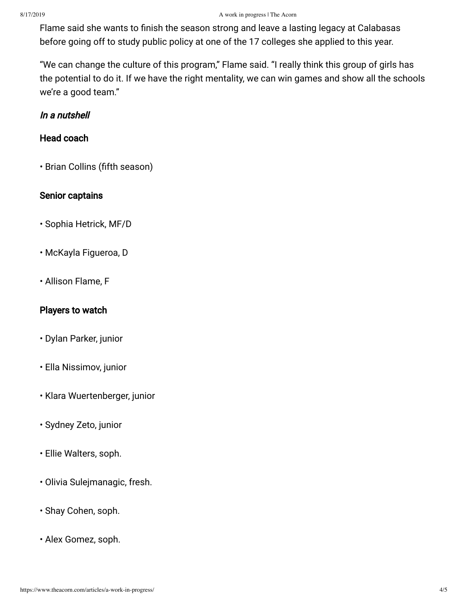Flame said she wants to finish the season strong and leave a lasting legacy at Calabasas before going off to study public policy at one of the 17 colleges she applied to this year.

"We can change the culture of this program," Flame said. "I really think this group of girls has the potential to do it. If we have the right mentality, we can win games and show all the schools we're a good team."

## In a nutshell

## Head coach

• Brian Collins (fifth season)

#### Senior captains

- Sophia Hetrick, MF/D
- McKayla Figueroa, D
- Allison Flame, F

#### Players to watch

- Dylan Parker, junior
- Ella Nissimov, junior
- Klara Wuertenberger, junior
- Sydney Zeto, junior
- Ellie Walters, soph.
- Olivia Sulejmanagic, fresh.
- Shay Cohen, soph.
- Alex Gomez, soph.